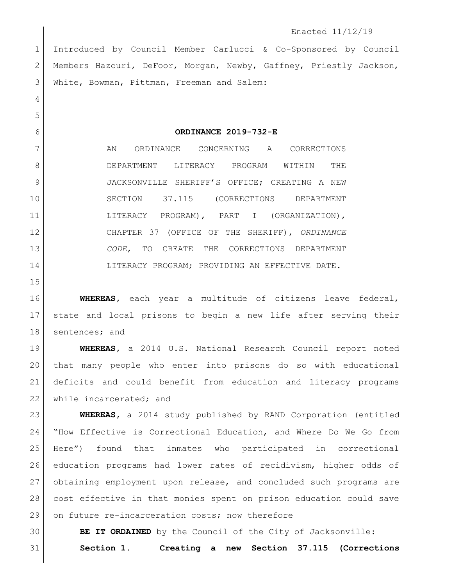## Enacted 11/12/19

 Introduced by Council Member Carlucci & Co-Sponsored by Council 2 | Members Hazouri, DeFoor, Morgan, Newby, Gaffney, Priestly Jackson, White, Bowman, Pittman, Freeman and Salem:

**ORDINANCE 2019-732-E**

7 AN ORDINANCE CONCERNING A CORRECTIONS DEPARTMENT LITERACY PROGRAM WITHIN THE 9 JACKSONVILLE SHERIFF'S OFFICE; CREATING A NEW SECTION 37.115 (CORRECTIONS DEPARTMENT LITERACY PROGRAM), PART I (ORGANIZATION), CHAPTER 37 (OFFICE OF THE SHERIFF), *ORDINANCE CODE*, TO CREATE THE CORRECTIONS DEPARTMENT 14 LITERACY PROGRAM; PROVIDING AN EFFECTIVE DATE.

 **WHEREAS,** each year a multitude of citizens leave federal, state and local prisons to begin a new life after serving their 18 sentences; and

 **WHEREAS,** a 2014 U.S. National Research Council report noted that many people who enter into prisons do so with educational deficits and could benefit from education and literacy programs 22 while incarcerated; and

 **WHEREAS,** a 2014 study published by RAND Corporation (entitled "How Effective is Correctional Education, and Where Do We Go from Here") found that inmates who participated in correctional education programs had lower rates of recidivism, higher odds of obtaining employment upon release, and concluded such programs are cost effective in that monies spent on prison education could save 29 on future re-incarceration costs; now therefore

**BE IT ORDAINED** by the Council of the City of Jacksonville:

**Section 1. Creating a new Section 37.115 (Corrections**